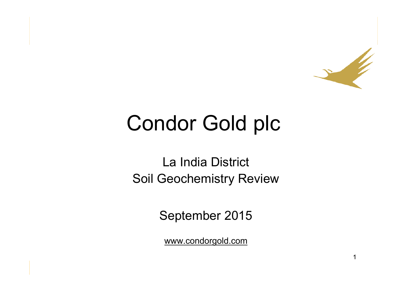

# Condor Gold plc

La India District Soil Geochemistry Review

September 2015

www.condorgold.com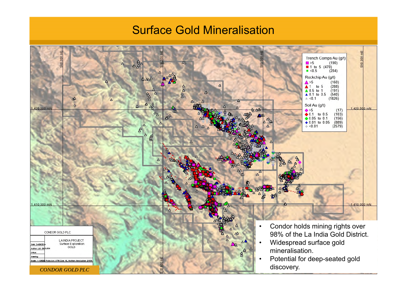#### Surface Gold Mineralisation

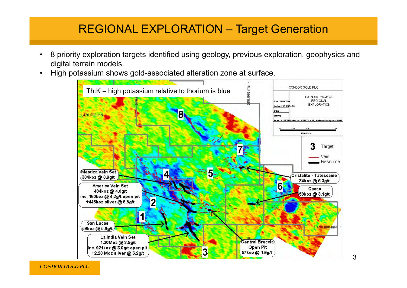#### REGIONAL EXPLORATION – Target Generation

- • 8 priority exploration targets identified using geology, previous exploration, geophysics and digital terrain models.
- •High potassium shows gold-associated alteration zone at surface.



*CONDOR GOLD PLC*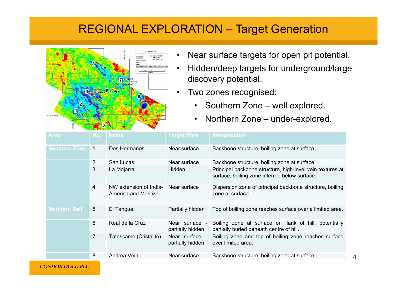#### REGIONAL EXPLORATION – Target Generation



- •Near surface targets for open pit potential.
- • Hidden/deep targets for underground/large discovery potential.
- • Two zones recognised:
	- Southern Zone well explored.
	- $\bullet$ Northern Zone – under-explored.

| <b>Area</b>          | No.             | <b>Name</b>                                   | <b>Target Style</b>                | <b>Interpretation</b>                                                                                      |
|----------------------|-----------------|-----------------------------------------------|------------------------------------|------------------------------------------------------------------------------------------------------------|
| <b>Southern Zone</b> | 1               | Dos Hermanos                                  | Near surface                       | Backbone structure, boiling zone at surface.                                                               |
|                      | $\overline{2}$  | San Lucas                                     | Near surface                       | Backbone structure, boiling zone at surface.                                                               |
|                      | 3               | La Mojarra                                    | Hidden                             | Principal backbone structure, high-level vein textures at<br>surface, boiling zone inferred below surface. |
|                      | 4               | NW extension of India-<br>America and Mestiza | Near surface                       | Dispersion zone of principal backbone structure, boiling<br>zone at surface.                               |
| <b>Northern Belt</b> | $5\overline{)}$ | El Tanque                                     | Partially hidden                   | Top of boiling zone reaches surface over a limited area.                                                   |
|                      | 6               | Real de la Cruz                               | Near surface -<br>partially hidden | Boiling zone at surface on flank of hill, potentially<br>partially buried beneath centre of hill.          |
|                      | 7               | Tatescame (Cristalito)                        | Near surface -<br>partially hidden | Boiling zone and top of boiling zone reaches surface<br>over limited area.                                 |
|                      | 8               | Andrea Vein                                   | Near surface                       | Backbone structure, boiling zone at surface.                                                               |

*CONDOR GOLD PLC*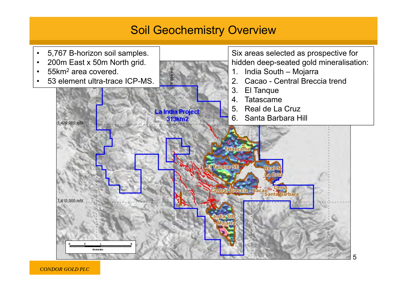#### Soil Geochemistry Overview



*CONDOR GOLD PLC*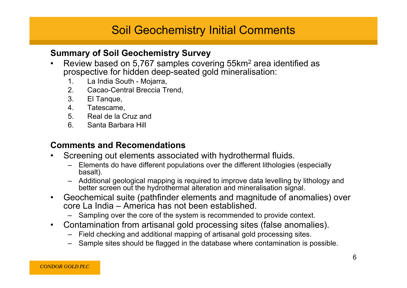# Soil Geochemistry Initial Comments

#### **Summary of Soil Geochemistry Survey**

- • Review based on 5,767 samples covering 55km 2 area identified as prospective for hidden deep-seated gold mineralisation:
	- 1. La India South Mojarra,
	- 2. Cacao-Central Breccia Trend,
	- 3. El Tanque,
	- 4. Tatescame,
	- 5. Real de la Cruz and
	- 6. Santa Barbara Hill

#### **Comments and Recomendations**

- • Screening out elements associated with hydrothermal fluids.
	- Elements do have different populations over the different lithologies (especially basalt).
	- Additional geological mapping is required to improve data levelling by lithology and better screen out the hydrothermal alteration and mineralisation signal.
- $\bullet$  Geochemical suite (pathfinder elements and magnitude of anomalies) over core La India – America has not been established.
	- Sampling over the core of the system is recommended to provide context.
- $\bullet$  Contamination from artisanal gold processing sites (false anomalies).
	- Field checking and additional mapping of artisanal gold processing sites.
	- Sample sites should be flagged in the database where contamination is possible.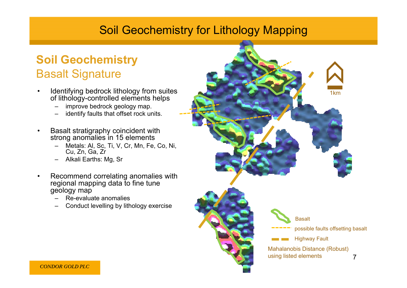### Soil Geochemistry for Lithology Mapping

# **Soil Geochemistry** Basalt Signature

- • Identifying bedrock lithology from suites of lithology-controlled elements helps
	- –improve bedrock geology map.
	- –identify faults that offset rock units.
- • Basalt stratigraphy coincident with strong anomalies in 15 elements
	- – Metals: Al, Sc, Ti, V, Cr, Mn, Fe, Co, Ni, Cu, Zn, Ga, Zr
	- –Alkali Earths: Mg, Sr
- • Recommend correlating anomalies with regional mapping data to fine tune geology map
	- Re-evaluate anomalies
	- Conduct levelling by lithology exercise

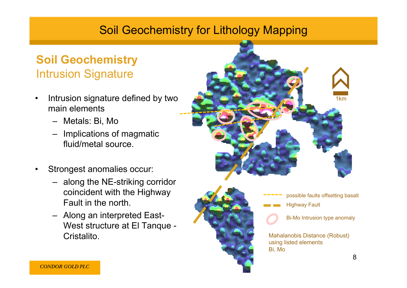## Soil Geochemistry for Lithology Mapping

# **Soil Geochemistry** Intrusion Signature

- • Intrusion signature defined by two main elements
	- Metals: Bi, Mo
	- – Implications of magmatic fluid/metal source.
- • Strongest anomalies occur:
	- along the NE-striking corridor coincident with the Highway Fault in the north.
	- Along an interpreted East-West structure at El Tanque - Cristalito.





Mahalanobis Distance (Robust) using listed elements Bi, Mo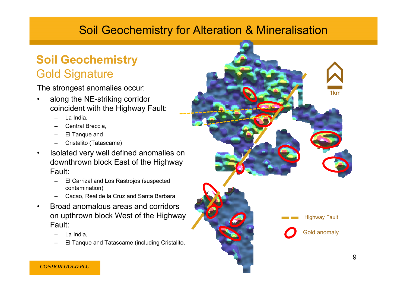## Soil Geochemistry for Alteration & Mineralisation

## **Soil Geochemistry** Gold Signature

The strongest anomalies occur:

- • along the NE-striking corridor coincident with the Highway Fault:
	- La India,
	- Central Breccia,
	- El Tanque and
	- Cristalito (Tatascame)
- $\bullet$  Isolated very well defined anomalies on downthrown block East of the Highway Fault:
	- El Carrizal and Los Rastrojos (suspected contamination)
	- Cacao, Real de la Cruz and Santa Barbara
- $\bullet$  Broad anomalous areas and corridors on upthrown block West of the Highway Fault:
	- La India,
	- El Tanque and Tatascame (including Cristalito.

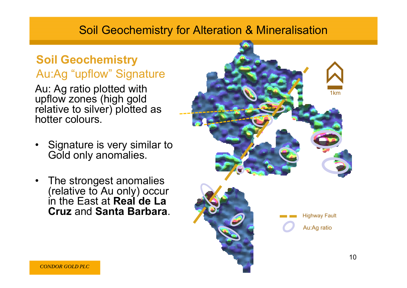#### Soil Geochemistry for Alteration & Mineralisation

## **Soil Geochemistry** Au:Ag "upflow" Signature

Au: Ag ratio plotted with upflow zones (high gold relative to silver) plotted as hotter colours.

- • Signature is very similar to Gold only anomalies.
- $\bullet$  The strongest anomalies (relative to Au only) occur in the East at **Real de La Cruz** and **Santa Barbara**.

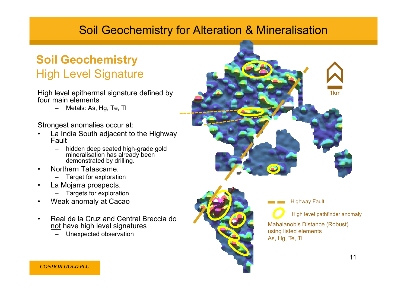### Soil Geochemistry for Alteration & Mineralisation

# **Soil Geochemistry** High Level Signature

High level epithermal signature defined by four main elements

> –Metals: As, Hg, Te, Tl

Strongest anomalies occur at:

- • La India South adjacent to the Highway Fault
	- – hidden deep seated high-grade gold mineralisation has already been demonstrated by drilling.
- • Northern Tatascame.
	- –Target for exploration
- • La Mojarra prospects.
	- –Targets for exploration
- •Weak anomaly at Cacao
- • Real de la Cruz and Central Breccia do not have high level signatures
	- –Unexpected observation





Highway Fault

High level pathfinder anomaly

Mahalanobis Distance (Robust) using listed elements As, Hg, Te, Tl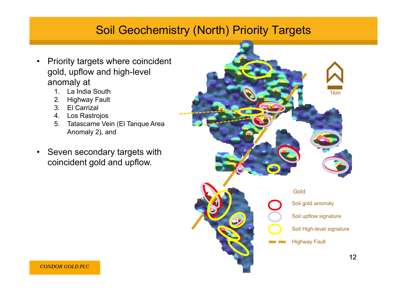#### Soil Geochemistry (North) Priority Targets

- • Priority targets where coincident gold, upflow and high-level anomaly at
	- 1. La India South
	- 2. Highway Fault
	- 3. El Carrizal
	- 4. Los Rastrojos
	- 5. Tatascame Vein (El Tanque Area Anomaly 2), and
- Seven secondary targets with coincident gold and upflow.